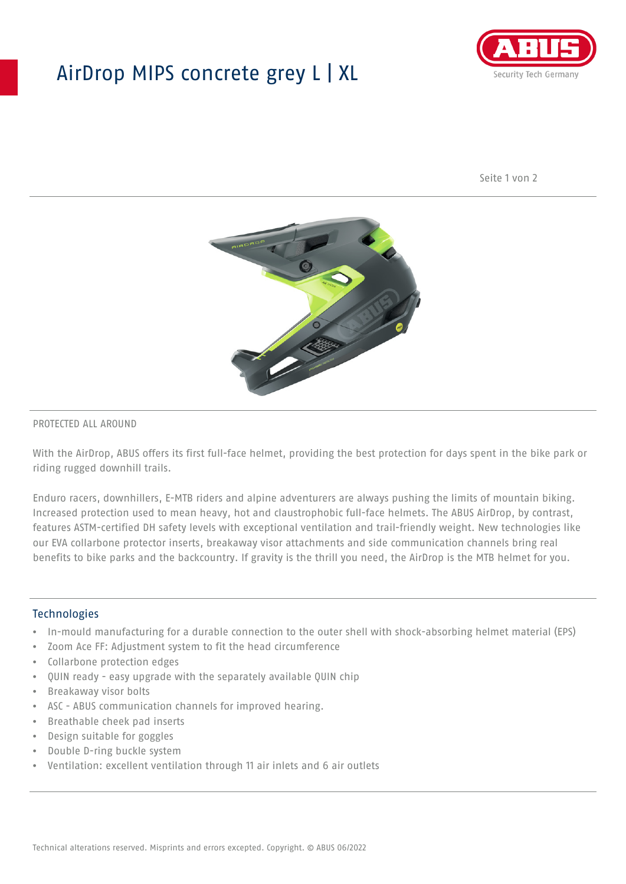## AirDrop MIPS concrete grey L | XL



Seite 1 von 2



#### PROTECTED ALL AROUND

With the AirDrop, ABUS offers its first full-face helmet, providing the best protection for days spent in the bike park or riding rugged downhill trails.

Enduro racers, downhillers, E-MTB riders and alpine adventurers are always pushing the limits of mountain biking. Increased protection used to mean heavy, hot and claustrophobic full-face helmets. The ABUS AirDrop, by contrast, features ASTM-certified DH safety levels with exceptional ventilation and trail-friendly weight. New technologies like our EVA collarbone protector inserts, breakaway visor attachments and side communication channels bring real benefits to bike parks and the backcountry. If gravity is the thrill you need, the AirDrop is the MTB helmet for you.

#### **Technologies**

- In-mould manufacturing for a durable connection to the outer shell with shock-absorbing helmet material (EPS)
- Zoom Ace FF: Adjustment system to fit the head circumference
- Collarbone protection edges
- QUIN ready easy upgrade with the separately available QUIN chip
- Breakaway visor bolts
- ASC ABUS communication channels for improved hearing.
- Breathable cheek pad inserts
- Design suitable for goggles
- Double D-ring buckle system
- Ventilation: excellent ventilation through 11 air inlets and 6 air outlets